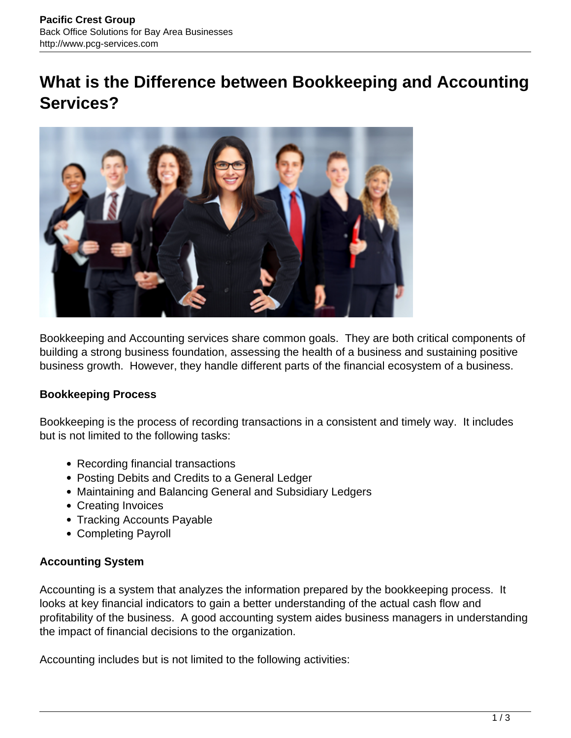# **What is the Difference between Bookkeeping and Accounting Services?**



Bookkeeping and Accounting services share common goals. They are both critical components of building a strong business foundation, assessing the health of a business and sustaining positive business growth. However, they handle different parts of the financial ecosystem of a business.

# **Bookkeeping Process**

Bookkeeping is the process of recording transactions in a consistent and timely way. It includes but is not limited to the following tasks:

- Recording financial transactions
- Posting Debits and Credits to a General Ledger
- Maintaining and Balancing General and Subsidiary Ledgers
- Creating Invoices
- Tracking Accounts Payable
- Completing Payroll

### **Accounting System**

Accounting is a system that analyzes the information prepared by the bookkeeping process. It looks at key financial indicators to gain a better understanding of the actual cash flow and profitability of the business. A good accounting system aides business managers in understanding the impact of financial decisions to the organization.

Accounting includes but is not limited to the following activities: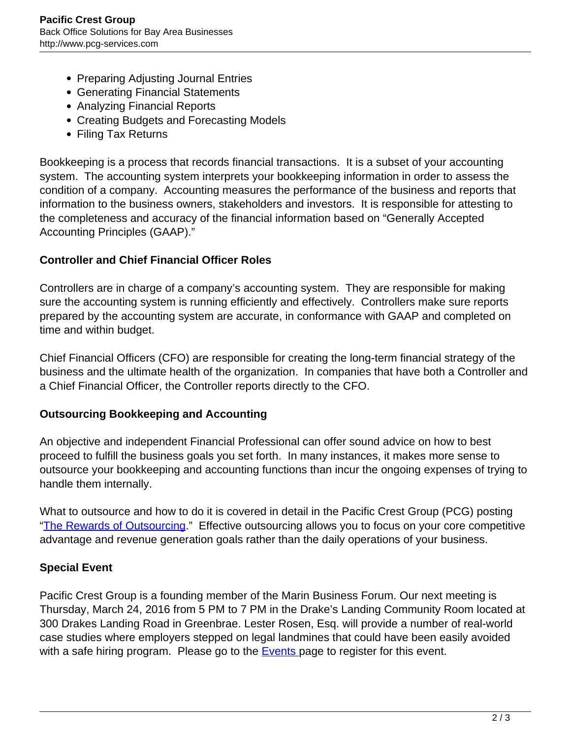- Preparing Adjusting Journal Entries
- Generating Financial Statements
- Analyzing Financial Reports
- Creating Budgets and Forecasting Models
- Filing Tax Returns

Bookkeeping is a process that records financial transactions. It is a subset of your accounting system. The accounting system interprets your bookkeeping information in order to assess the condition of a company. Accounting measures the performance of the business and reports that information to the business owners, stakeholders and investors. It is responsible for attesting to the completeness and accuracy of the financial information based on "Generally Accepted Accounting Principles (GAAP)."

## **Controller and Chief Financial Officer Roles**

Controllers are in charge of a company's accounting system. They are responsible for making sure the accounting system is running efficiently and effectively. Controllers make sure reports prepared by the accounting system are accurate, in conformance with GAAP and completed on time and within budget.

Chief Financial Officers (CFO) are responsible for creating the long-term financial strategy of the business and the ultimate health of the organization. In companies that have both a Controller and a Chief Financial Officer, the Controller reports directly to the CFO.

### **Outsourcing Bookkeeping and Accounting**

An objective and independent Financial Professional can offer sound advice on how to best proceed to fulfill the business goals you set forth. In many instances, it makes more sense to outsource your bookkeeping and accounting functions than incur the ongoing expenses of trying to handle them internally.

What to outsource and how to do it is covered in detail in the Pacific Crest Group (PCG) posting "[The Rewards of Outsourcing](http://www.pcg-services.com/resources/rewards-of-outsourcing)." Effective outsourcing allows you to focus on your core competitive advantage and revenue generation goals rather than the daily operations of your business.

# **Special Event**

Pacific Crest Group is a founding member of the Marin Business Forum. Our next meeting is Thursday, March 24, 2016 from 5 PM to 7 PM in the Drake's Landing Community Room located at 300 Drakes Landing Road in Greenbrae. Lester Rosen, Esq. will provide a number of real-world case studies where employers stepped on legal landmines that could have been easily avoided with a safe hiring program. Please go to the **[Events p](http://marinbusinessforum.com/events)age to register for this event.**